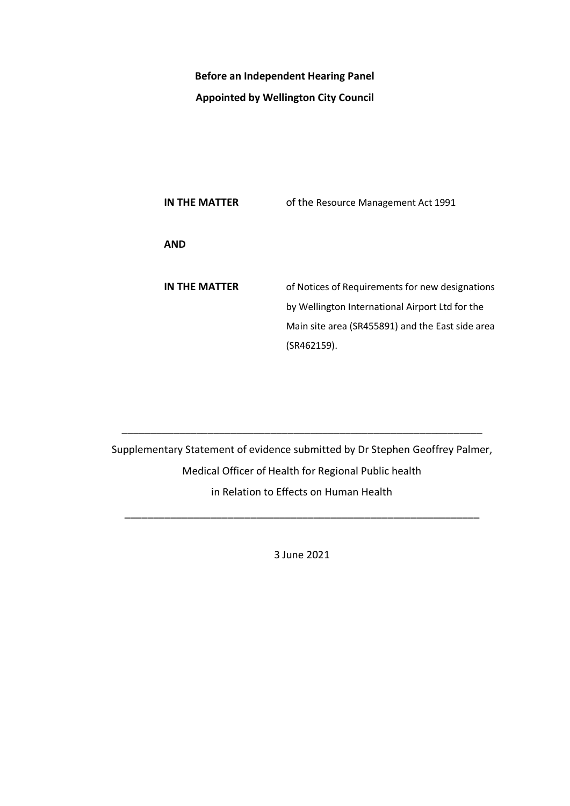## **Before an Independent Hearing Panel Appointed by Wellington City Council**

**IN THE MATTER** of the Resource Management Act 1991 **AND IN THE MATTER** of Notices of Requirements for new designations by Wellington International Airport Ltd for the Main site area (SR455891) and the East side area (SR462159).

Supplementary Statement of evidence submitted by Dr Stephen Geoffrey Palmer, Medical Officer of Health for Regional Public health in Relation to Effects on Human Health

\_\_\_\_\_\_\_\_\_\_\_\_\_\_\_\_\_\_\_\_\_\_\_\_\_\_\_\_\_\_\_\_\_\_\_\_\_\_\_\_\_\_\_\_\_\_\_\_\_\_\_\_\_\_\_\_\_\_\_\_\_\_\_

3 June 2021

\_\_\_\_\_\_\_\_\_\_\_\_\_\_\_\_\_\_\_\_\_\_\_\_\_\_\_\_\_\_\_\_\_\_\_\_\_\_\_\_\_\_\_\_\_\_\_\_\_\_\_\_\_\_\_\_\_\_\_\_\_\_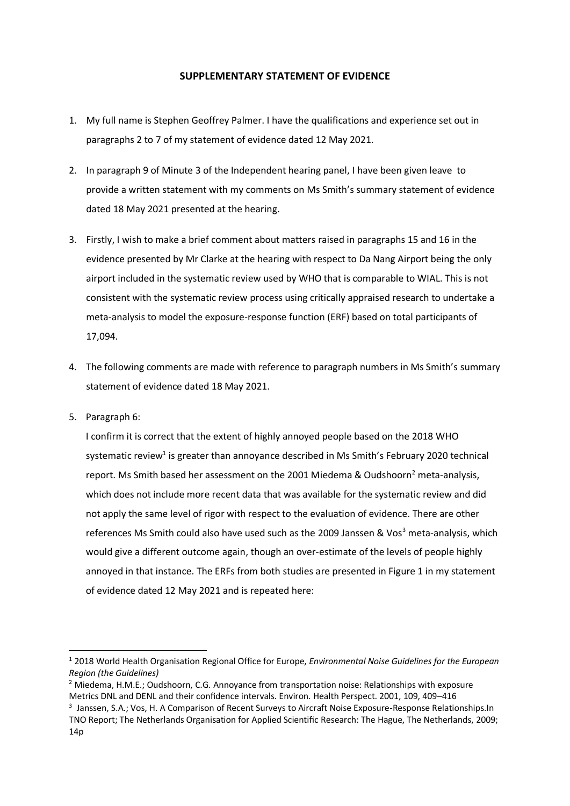## **SUPPLEMENTARY STATEMENT OF EVIDENCE**

- 1. My full name is Stephen Geoffrey Palmer. I have the qualifications and experience set out in paragraphs 2 to 7 of my statement of evidence dated 12 May 2021.
- 2. In paragraph 9 of Minute 3 of the Independent hearing panel, I have been given leave to provide a written statement with my comments on Ms Smith's summary statement of evidence dated 18 May 2021 presented at the hearing.
- 3. Firstly, I wish to make a brief comment about matters raised in paragraphs 15 and 16 in the evidence presented by Mr Clarke at the hearing with respect to Da Nang Airport being the only airport included in the systematic review used by WHO that is comparable to WIAL. This is not consistent with the systematic review process using critically appraised research to undertake a meta-analysis to model the exposure-response function (ERF) based on total participants of 17,094.
- 4. The following comments are made with reference to paragraph numbers in Ms Smith's summary statement of evidence dated 18 May 2021.
- 5. Paragraph 6:

I confirm it is correct that the extent of highly annoyed people based on the 2018 WHO systematic review<sup>1</sup> is greater than annoyance described in Ms Smith's February 2020 technical report. Ms Smith based her assessment on the 2001 Miedema & Oudshoorn<sup>2</sup> meta-analysis, which does not include more recent data that was available for the systematic review and did not apply the same level of rigor with respect to the evaluation of evidence. There are other references Ms Smith could also have used such as the 2009 Janssen & Vos<sup>3</sup> meta-analysis, which would give a different outcome again, though an over-estimate of the levels of people highly annoyed in that instance. The ERFs from both studies are presented in Figure 1 in my statement of evidence dated 12 May 2021 and is repeated here:

<sup>1</sup> 2018 World Health Organisation Regional Office for Europe, *Environmental Noise Guidelines for the European Region (the Guidelines)*

 $2$  Miedema, H.M.E.; Oudshoorn, C.G. Annoyance from transportation noise: Relationships with exposure Metrics DNL and DENL and their confidence intervals. Environ. Health Perspect. 2001, 109, 409–416

<sup>&</sup>lt;sup>3</sup> Janssen, S.A.; Vos, H. A Comparison of Recent Surveys to Aircraft Noise Exposure-Response Relationships.In TNO Report; The Netherlands Organisation for Applied Scientific Research: The Hague, The Netherlands, 2009; 14p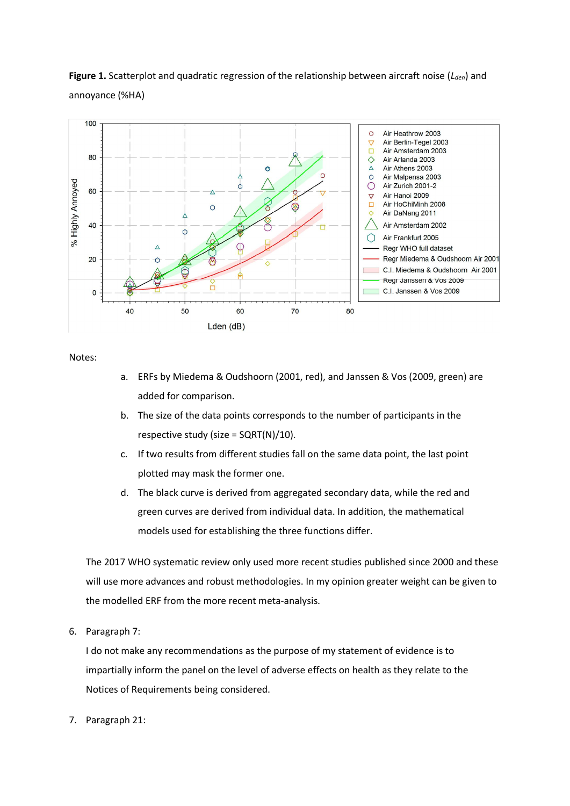**Figure 1.** Scatterplot and quadratic regression of the relationship between aircraft noise (*Lden*) and annoyance (%HA)



Notes:

- a. ERFs by Miedema & Oudshoorn (2001, red), and Janssen & Vos (2009, green) are added for comparison.
- b. The size of the data points corresponds to the number of participants in the respective study (size =  $SQRT(N)/10$ ).
- c. If two results from different studies fall on the same data point, the last point plotted may mask the former one.
- d. The black curve is derived from aggregated secondary data, while the red and green curves are derived from individual data. In addition, the mathematical models used for establishing the three functions differ.

The 2017 WHO systematic review only used more recent studies published since 2000 and these will use more advances and robust methodologies. In my opinion greater weight can be given to the modelled ERF from the more recent meta-analysis.

6. Paragraph 7:

I do not make any recommendations as the purpose of my statement of evidence is to impartially inform the panel on the level of adverse effects on health as they relate to the Notices of Requirements being considered.

7. Paragraph 21: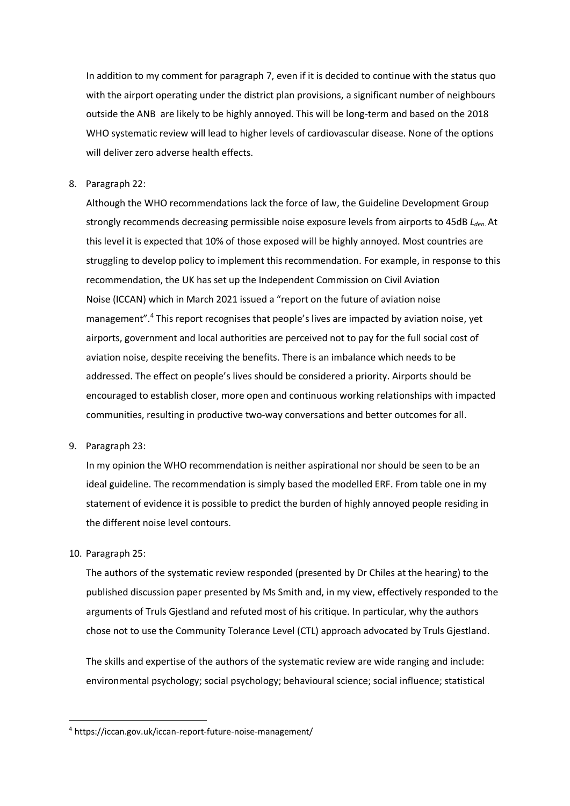In addition to my comment for paragraph 7, even if it is decided to continue with the status quo with the airport operating under the district plan provisions, a significant number of neighbours outside the ANB are likely to be highly annoyed. This will be long-term and based on the 2018 WHO systematic review will lead to higher levels of cardiovascular disease. None of the options will deliver zero adverse health effects.

8. Paragraph 22:

Although the WHO recommendations lack the force of law, the Guideline Development Group strongly recommends decreasing permissible noise exposure levels from airports to 45dB *Lden*. At this level it is expected that 10% of those exposed will be highly annoyed. Most countries are struggling to develop policy to implement this recommendation. For example, in response to this recommendation, the UK has set up the Independent Commission on Civil Aviation Noise (ICCAN) which in March 2021 issued a "report on the future of aviation noise management".<sup>4</sup> This report recognises that people's lives are impacted by aviation noise, yet airports, government and local authorities are perceived not to pay for the full social cost of aviation noise, despite receiving the benefits. There is an imbalance which needs to be addressed. The effect on people's lives should be considered a priority. Airports should be encouraged to establish closer, more open and continuous working relationships with impacted communities, resulting in productive two-way conversations and better outcomes for all.

9. Paragraph 23:

In my opinion the WHO recommendation is neither aspirational nor should be seen to be an ideal guideline. The recommendation is simply based the modelled ERF. From table one in my statement of evidence it is possible to predict the burden of highly annoyed people residing in the different noise level contours.

10. Paragraph 25:

The authors of the systematic review responded (presented by Dr Chiles at the hearing) to the published discussion paper presented by Ms Smith and, in my view, effectively responded to the arguments of Truls Gjestland and refuted most of his critique. In particular, why the authors chose not to use the Community Tolerance Level (CTL) approach advocated by Truls Gjestland.

The skills and expertise of the authors of the systematic review are wide ranging and include: environmental psychology; social psychology; behavioural science; social influence; statistical

<sup>4</sup> https://iccan.gov.uk/iccan-report-future-noise-management/